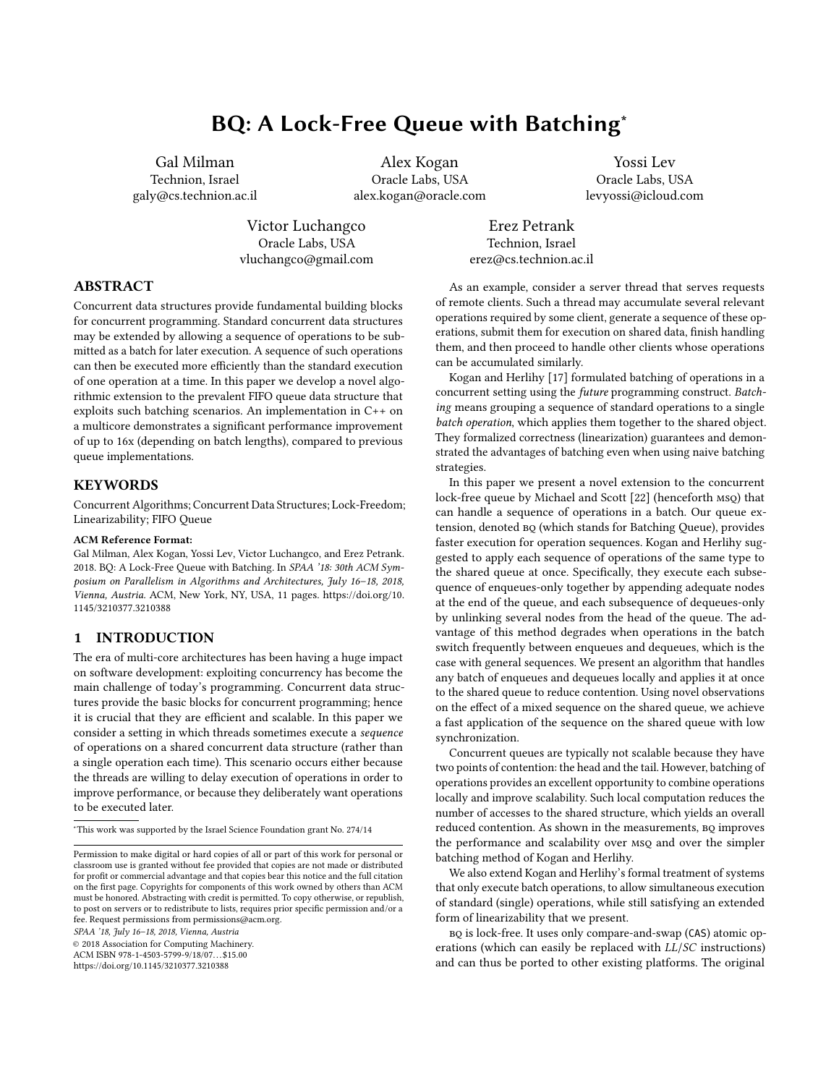# BQ: A Lock-Free Queue with Batching<sup>\*</sup>

Gal Milman Technion, Israel galy@cs.technion.ac.il

Alex Kogan Oracle Labs, USA alex.kogan@oracle.com

Yossi Lev Oracle Labs, USA levyossi@icloud.com

Victor Luchangco Oracle Labs, USA vluchangco@gmail.com

Erez Petrank Technion, Israel erez@cs.technion.ac.il

# ABSTRACT

Concurrent data structures provide fundamental building blocks for concurrent programming. Standard concurrent data structures may be extended by allowing a sequence of operations to be submitted as a batch for later execution. A sequence of such operations can then be executed more efficiently than the standard execution of one operation at a time. In this paper we develop a novel algorithmic extension to the prevalent FIFO queue data structure that exploits such batching scenarios. An implementation in C++ on a multicore demonstrates a significant performance improvement of up to 16x (depending on batch lengths), compared to previous queue implementations.

# **KEYWORDS**

Concurrent Algorithms; Concurrent Data Structures; Lock-Freedom; Linearizability; FIFO Queue

#### ACM Reference Format:

Gal Milman, Alex Kogan, Yossi Lev, Victor Luchangco, and Erez Petrank. 2018. BQ: A Lock-Free Queue with Batching. In SPAA '18: 30th ACM Symposium on Parallelism in Algorithms and Architectures, July 16–18, 2018, Vienna, Austria. ACM, New York, NY, USA, [11](#page-10-0) pages. [https://doi.org/10.](https://doi.org/10.1145/3210377.3210388) [1145/3210377.3210388](https://doi.org/10.1145/3210377.3210388)

# 1 INTRODUCTION

The era of multi-core architectures has been having a huge impact on software development: exploiting concurrency has become the main challenge of today's programming. Concurrent data structures provide the basic blocks for concurrent programming; hence it is crucial that they are efficient and scalable. In this paper we consider a setting in which threads sometimes execute a sequence of operations on a shared concurrent data structure (rather than a single operation each time). This scenario occurs either because the threads are willing to delay execution of operations in order to improve performance, or because they deliberately want operations to be executed later.

SPAA '18, July 16–18, 2018, Vienna, Austria

© 2018 Association for Computing Machinery.

ACM ISBN 978-1-4503-5799-9/18/07...\$15.00

<https://doi.org/10.1145/3210377.3210388>

As an example, consider a server thread that serves requests of remote clients. Such a thread may accumulate several relevant operations required by some client, generate a sequence of these operations, submit them for execution on shared data, finish handling them, and then proceed to handle other clients whose operations can be accumulated similarly.

Kogan and Herlihy [\[17\]](#page-10-1) formulated batching of operations in a concurrent setting using the future programming construct. Batching means grouping a sequence of standard operations to a single batch operation, which applies them together to the shared object. They formalized correctness (linearization) guarantees and demonstrated the advantages of batching even when using naive batching strategies.

In this paper we present a novel extension to the concurrent lock-free queue by Michael and Scott [\[22\]](#page-10-2) (henceforth msq) that can handle a sequence of operations in a batch. Our queue extension, denoted bq (which stands for Batching Queue), provides faster execution for operation sequences. Kogan and Herlihy suggested to apply each sequence of operations of the same type to the shared queue at once. Specifically, they execute each subsequence of enqueues-only together by appending adequate nodes at the end of the queue, and each subsequence of dequeues-only by unlinking several nodes from the head of the queue. The advantage of this method degrades when operations in the batch switch frequently between enqueues and dequeues, which is the case with general sequences. We present an algorithm that handles any batch of enqueues and dequeues locally and applies it at once to the shared queue to reduce contention. Using novel observations on the effect of a mixed sequence on the shared queue, we achieve a fast application of the sequence on the shared queue with low synchronization.

Concurrent queues are typically not scalable because they have two points of contention: the head and the tail. However, batching of operations provides an excellent opportunity to combine operations locally and improve scalability. Such local computation reduces the number of accesses to the shared structure, which yields an overall reduced contention. As shown in the measurements, BQ improves the performance and scalability over msq and over the simpler batching method of Kogan and Herlihy.

We also extend Kogan and Herlihy's formal treatment of systems that only execute batch operations, to allow simultaneous execution of standard (single) operations, while still satisfying an extended form of linearizability that we present.

BQ is lock-free. It uses only compare-and-swap (CAS) atomic operations (which can easily be replaced with LL/SC instructions) and can thus be ported to other existing platforms. The original

 $^\star\!$  This work was supported by the Israel Science Foundation grant No. 274/14

Permission to make digital or hard copies of all or part of this work for personal or classroom use is granted without fee provided that copies are not made or distributed for profit or commercial advantage and that copies bear this notice and the full citation on the first page. Copyrights for components of this work owned by others than ACM must be honored. Abstracting with credit is permitted. To copy otherwise, or republish, to post on servers or to redistribute to lists, requires prior specific permission and/or a fee. Request permissions from permissions@acm.org.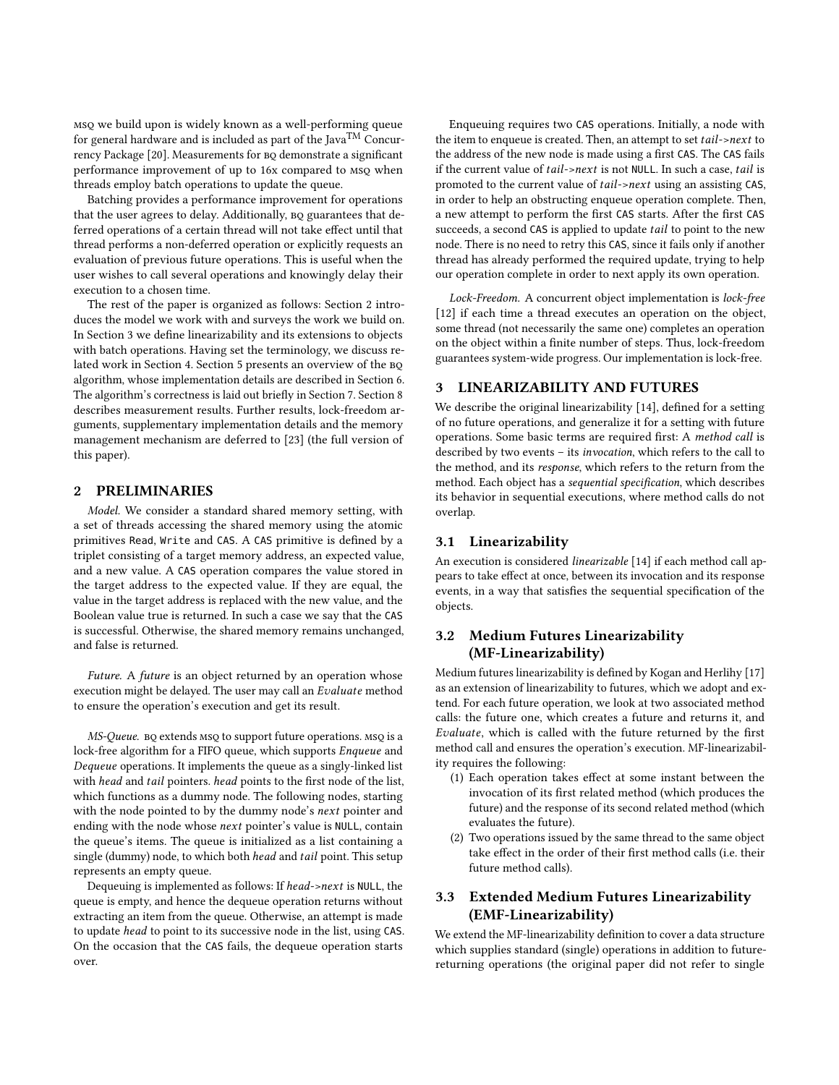msq we build upon is widely known as a well-performing queue for general hardware and is included as part of the Java<sup>TM</sup> Concur-rency Package [\[20\]](#page-10-3). Measurements for BQ demonstrate a significant performance improvement of up to 16x compared to msq when threads employ batch operations to update the queue.

Batching provides a performance improvement for operations that the user agrees to delay. Additionally, BQ guarantees that deferred operations of a certain thread will not take effect until that thread performs a non-deferred operation or explicitly requests an evaluation of previous future operations. This is useful when the user wishes to call several operations and knowingly delay their execution to a chosen time.

The rest of the paper is organized as follows: Section [2](#page-1-0) introduces the model we work with and surveys the work we build on. In Section [3](#page-1-1) we define linearizability and its extensions to objects with batch operations. Having set the terminology, we discuss re-lated work in Section [4.](#page-2-0) Section [5](#page-3-0) presents an overview of the BQ algorithm, whose implementation details are described in Section [6.](#page-4-0) The algorithm's correctness is laid out briefly in Section [7.](#page-8-0) Section [8](#page-9-0) describes measurement results. Further results, lock-freedom arguments, supplementary implementation details and the memory management mechanism are deferred to [\[23\]](#page-10-4) (the full version of this paper).

# <span id="page-1-0"></span>2 PRELIMINARIES

Model. We consider a standard shared memory setting, with a set of threads accessing the shared memory using the atomic primitives Read, Write and CAS. A CAS primitive is defined by a triplet consisting of a target memory address, an expected value, and a new value. A CAS operation compares the value stored in the target address to the expected value. If they are equal, the value in the target address is replaced with the new value, and the Boolean value true is returned. In such a case we say that the CAS is successful. Otherwise, the shared memory remains unchanged, and false is returned.

Future. A future is an object returned by an operation whose execution might be delayed. The user may call an Evaluate method to ensure the operation's execution and get its result.

MS-Queue. BQ extends msQ to support future operations. msQ is a lock-free algorithm for a FIFO queue, which supports Enqueue and Dequeue operations. It implements the queue as a singly-linked list with head and tail pointers. head points to the first node of the list, which functions as a dummy node. The following nodes, starting with the node pointed to by the dummy node's next pointer and ending with the node whose next pointer's value is NULL, contain the queue's items. The queue is initialized as a list containing a single (dummy) node, to which both head and tail point. This setup represents an empty queue.

Dequeuing is implemented as follows: If head->next is NULL, the queue is empty, and hence the dequeue operation returns without extracting an item from the queue. Otherwise, an attempt is made to update head to point to its successive node in the list, using CAS. On the occasion that the CAS fails, the dequeue operation starts over.

Enqueuing requires two CAS operations. Initially, a node with the item to enqueue is created. Then, an attempt to set tail->next to the address of the new node is made using a first CAS. The CAS fails if the current value of tail->next is not NULL. In such a case, tail is promoted to the current value of tail->next using an assisting CAS, in order to help an obstructing enqueue operation complete. Then, a new attempt to perform the first CAS starts. After the first CAS succeeds, a second CAS is applied to update tail to point to the new node. There is no need to retry this CAS, since it fails only if another thread has already performed the required update, trying to help our operation complete in order to next apply its own operation.

Lock-Freedom. A concurrent object implementation is lock-free [\[12\]](#page-10-5) if each time a thread executes an operation on the object, some thread (not necessarily the same one) completes an operation on the object within a finite number of steps. Thus, lock-freedom guarantees system-wide progress. Our implementation is lock-free.

# <span id="page-1-1"></span>3 LINEARIZABILITY AND FUTURES

We describe the original linearizability [\[14\]](#page-10-6), defined for a setting of no future operations, and generalize it for a setting with future operations. Some basic terms are required first: A method call is described by two events – its invocation, which refers to the call to the method, and its response, which refers to the return from the method. Each object has a sequential specification, which describes its behavior in sequential executions, where method calls do not overlap.

# 3.1 Linearizability

An execution is considered linearizable [\[14\]](#page-10-6) if each method call appears to take effect at once, between its invocation and its response events, in a way that satisfies the sequential specification of the objects.

# 3.2 Medium Futures Linearizability (MF-Linearizability)

Medium futures linearizability is defined by Kogan and Herlihy [\[17\]](#page-10-1) as an extension of linearizability to futures, which we adopt and extend. For each future operation, we look at two associated method calls: the future one, which creates a future and returns it, and Evaluate, which is called with the future returned by the first method call and ensures the operation's execution. MF-linearizability requires the following:

- (1) Each operation takes effect at some instant between the invocation of its first related method (which produces the future) and the response of its second related method (which evaluates the future).
- (2) Two operations issued by the same thread to the same object take effect in the order of their first method calls (i.e. their future method calls).

# 3.3 Extended Medium Futures Linearizability (EMF-Linearizability)

We extend the MF-linearizability definition to cover a data structure which supplies standard (single) operations in addition to futurereturning operations (the original paper did not refer to single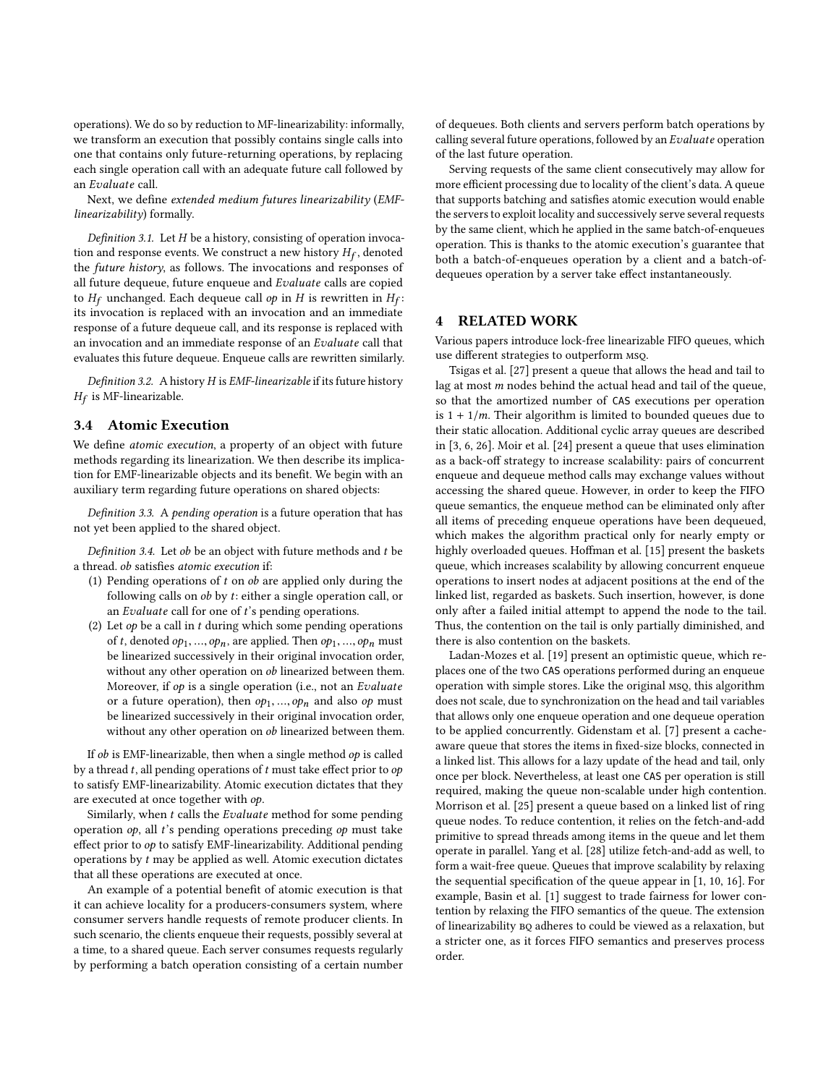operations). We do so by reduction to MF-linearizability: informally, we transform an execution that possibly contains single calls into one that contains only future-returning operations, by replacing each single operation call with an adequate future call followed by an Evaluate call.

Next, we define extended medium futures linearizability (EMFlinearizability) formally.

<span id="page-2-1"></span>Definition 3.1. Let  $H$  be a history, consisting of operation invocation and response events. We construct a new history  $H_f$ , denoted the future history as follows. The invocations and responses of the future history, as follows. The invocations and responses of all future dequeue, future enqueue and Evaluate calls are copied to  $H_f$  unchanged. Each dequeue call *op* in *H* is rewritten in  $H_f$ :<br>its invocation is replaced with an invocation and an immediate its invocation is replaced with an invocation and an immediate response of a future dequeue call, and its response is replaced with an invocation and an immediate response of an Evaluate call that evaluates this future dequeue. Enqueue calls are rewritten similarly.

Definition 3.2. A history H is EMF-linearizable if its future history  $H_f$  is MF-linearizable.

#### 3.4 Atomic Execution

We define atomic execution, a property of an object with future methods regarding its linearization. We then describe its implication for EMF-linearizable objects and its benefit. We begin with an auxiliary term regarding future operations on shared objects:

Definition 3.3. A pending operation is a future operation that has not yet been applied to the shared object.

Definition 3.4. Let  $ob$  be an object with future methods and  $t$  be a thread. ob satisfies atomic execution if:

- (1) Pending operations of  $t$  on  $ob$  are applied only during the following calls on ob by t: either a single operation call, or an Evaluate call for one of  $t$ 's pending operations.
- (2) Let  $op$  be a call in  $t$  during which some pending operations of t, denoted  $op_1$ , ...,  $op_n$ , are applied. Then  $op_1$ , ...,  $op_n$  must be linearized successively in their original invocation order, without any other operation on ob linearized between them. Moreover, if op is a single operation (i.e., not an Evaluate or a future operation), then  $op_1$ , ...,  $op_n$  and also  $op$  must be linearized successively in their original invocation order, without any other operation on  $ob$  linearized between them.

If  $ob$  is EMF-linearizable, then when a single method  $op$  is called by a thread  $t$ , all pending operations of  $t$  must take effect prior to  $op$ to satisfy EMF-linearizability. Atomic execution dictates that they are executed at once together with op.

Similarly, when t calls the Evaluate method for some pending operation  $op$ , all  $t$ 's pending operations preceding  $op$  must take effect prior to op to satisfy EMF-linearizability. Additional pending operations by t may be applied as well. Atomic execution dictates that all these operations are executed at once.

An example of a potential benefit of atomic execution is that it can achieve locality for a producers-consumers system, where consumer servers handle requests of remote producer clients. In such scenario, the clients enqueue their requests, possibly several at a time, to a shared queue. Each server consumes requests regularly by performing a batch operation consisting of a certain number of dequeues. Both clients and servers perform batch operations by calling several future operations, followed by an Evaluate operation of the last future operation.

Serving requests of the same client consecutively may allow for more efficient processing due to locality of the client's data. A queue that supports batching and satisfies atomic execution would enable the servers to exploit locality and successively serve several requests by the same client, which he applied in the same batch-of-enqueues operation. This is thanks to the atomic execution's guarantee that both a batch-of-enqueues operation by a client and a batch-ofdequeues operation by a server take effect instantaneously.

# <span id="page-2-0"></span>4 RELATED WORK

Various papers introduce lock-free linearizable FIFO queues, which use different strategies to outperform msq.

Tsigas et al. [\[27\]](#page-10-7) present a queue that allows the head and tail to lag at most  $m$  nodes behind the actual head and tail of the queue, so that the amortized number of CAS executions per operation is  $1 + \frac{1}{m}$ . Their algorithm is limited to bounded queues due to their static allocation. Additional cyclic array queues are described in [\[3,](#page-10-8) [6,](#page-10-9) [26\]](#page-10-10). Moir et al. [\[24\]](#page-10-11) present a queue that uses elimination as a back-off strategy to increase scalability: pairs of concurrent enqueue and dequeue method calls may exchange values without accessing the shared queue. However, in order to keep the FIFO queue semantics, the enqueue method can be eliminated only after all items of preceding enqueue operations have been dequeued, which makes the algorithm practical only for nearly empty or highly overloaded queues. Hoffman et al. [\[15\]](#page-10-12) present the baskets queue, which increases scalability by allowing concurrent enqueue operations to insert nodes at adjacent positions at the end of the linked list, regarded as baskets. Such insertion, however, is done only after a failed initial attempt to append the node to the tail. Thus, the contention on the tail is only partially diminished, and there is also contention on the baskets.

Ladan-Mozes et al. [\[19\]](#page-10-13) present an optimistic queue, which replaces one of the two CAS operations performed during an enqueue operation with simple stores. Like the original msq, this algorithm does not scale, due to synchronization on the head and tail variables that allows only one enqueue operation and one dequeue operation to be applied concurrently. Gidenstam et al. [\[7\]](#page-10-14) present a cacheaware queue that stores the items in fixed-size blocks, connected in a linked list. This allows for a lazy update of the head and tail, only once per block. Nevertheless, at least one CAS per operation is still required, making the queue non-scalable under high contention. Morrison et al. [\[25\]](#page-10-15) present a queue based on a linked list of ring queue nodes. To reduce contention, it relies on the fetch-and-add primitive to spread threads among items in the queue and let them operate in parallel. Yang et al. [\[28\]](#page-10-16) utilize fetch-and-add as well, to form a wait-free queue. Queues that improve scalability by relaxing the sequential specification of the queue appear in [\[1,](#page-10-17) [10,](#page-10-18) [16\]](#page-10-19). For example, Basin et al. [\[1\]](#page-10-17) suggest to trade fairness for lower contention by relaxing the FIFO semantics of the queue. The extension of linearizability bq adheres to could be viewed as a relaxation, but a stricter one, as it forces FIFO semantics and preserves process order.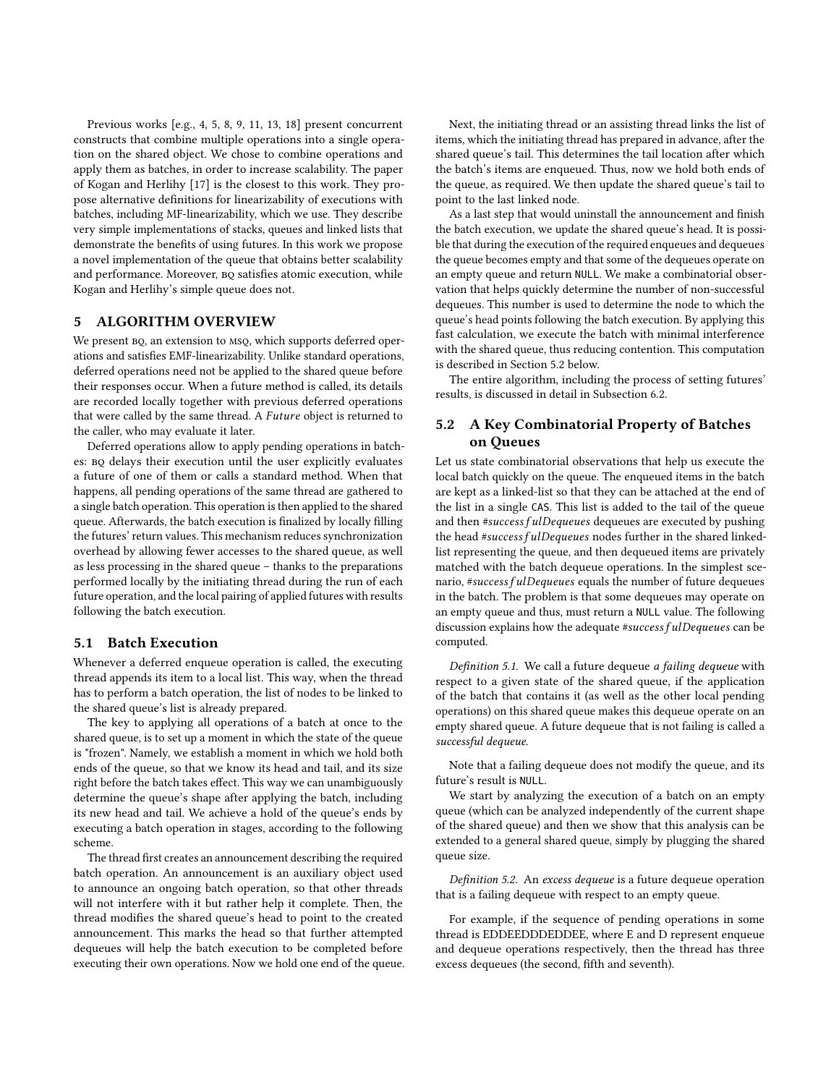Previous works [e.g., [4,](#page-10-20) [5,](#page-10-21) [8,](#page-10-22) [9,](#page-10-23) [11,](#page-10-24) [13,](#page-10-25) [18\]](#page-10-26) present concurrent constructs that combine multiple operations into a single operation on the shared object. We chose to combine operations and apply them as batches, in order to increase scalability. The paper of Kogan and Herlihy [\[17\]](#page-10-1) is the closest to this work. They propose alternative definitions for linearizability of executions with batches, including MF-linearizability, which we use. They describe very simple implementations of stacks, queues and linked lists that demonstrate the benefits of using futures. In this work we propose a novel implementation of the queue that obtains better scalability and performance. Moreover, BQ satisfies atomic execution, while Kogan and Herlihy's simple queue does not.

# <span id="page-3-0"></span>5 ALGORITHM OVERVIEW

We present  $BQ$ , an extension to MSQ, which supports deferred operations and satisfies EMF-linearizability. Unlike standard operations, deferred operations need not be applied to the shared queue before their responses occur. When a future method is called, its details are recorded locally together with previous deferred operations that were called by the same thread. A Future object is returned to the caller, who may evaluate it later.

Deferred operations allow to apply pending operations in batches: bq delays their execution until the user explicitly evaluates a future of one of them or calls a standard method. When that happens, all pending operations of the same thread are gathered to a single batch operation. This operation is then applied to the shared queue. Afterwards, the batch execution is finalized by locally filling the futures' return values. This mechanism reduces synchronization overhead by allowing fewer accesses to the shared queue, as well as less processing in the shared queue – thanks to the preparations performed locally by the initiating thread during the run of each future operation, and the local pairing of applied futures with results following the batch execution.

#### <span id="page-3-2"></span>5.1 Batch Execution

Whenever a deferred enqueue operation is called, the executing thread appends its item to a local list. This way, when the thread has to perform a batch operation, the list of nodes to be linked to the shared queue's list is already prepared.

The key to applying all operations of a batch at once to the shared queue, is to set up a moment in which the state of the queue is "frozen". Namely, we establish a moment in which we hold both ends of the queue, so that we know its head and tail, and its size right before the batch takes effect. This way we can unambiguously determine the queue's shape after applying the batch, including its new head and tail. We achieve a hold of the queue's ends by executing a batch operation in stages, according to the following scheme.

The thread first creates an announcement describing the required batch operation. An announcement is an auxiliary object used to announce an ongoing batch operation, so that other threads will not interfere with it but rather help it complete. Then, the thread modifies the shared queue's head to point to the created announcement. This marks the head so that further attempted dequeues will help the batch execution to be completed before executing their own operations. Now we hold one end of the queue.

Next, the initiating thread or an assisting thread links the list of items, which the initiating thread has prepared in advance, after the shared queue's tail. This determines the tail location after which the batch's items are enqueued. Thus, now we hold both ends of the queue, as required. We then update the shared queue's tail to point to the last linked node.

As a last step that would uninstall the announcement and finish the batch execution, we update the shared queue's head. It is possible that during the execution of the required enqueues and dequeues the queue becomes empty and that some of the dequeues operate on an empty queue and return NULL. We make a combinatorial observation that helps quickly determine the number of non-successful dequeues. This number is used to determine the node to which the queue's head points following the batch execution. By applying this fast calculation, we execute the batch with minimal interference with the shared queue, thus reducing contention. This computation is described in Section [5.2](#page-3-1) below.

The entire algorithm, including the process of setting futures' results, is discussed in detail in Subsection [6.2.](#page-5-0)

# <span id="page-3-1"></span>5.2 A Key Combinatorial Property of Batches on Queues

Let us state combinatorial observations that help us execute the local batch quickly on the queue. The enqueued items in the batch are kept as a linked-list so that they can be attached at the end of the list in a single CAS. This list is added to the tail of the queue and then #success f ulDequeues dequeues are executed by pushing the head #success fulDequeues nodes further in the shared linkedlist representing the queue, and then dequeued items are privately matched with the batch dequeue operations. In the simplest scenario, #success f ulDequeues equals the number of future dequeues in the batch. The problem is that some dequeues may operate on an empty queue and thus, must return a NULL value. The following discussion explains how the adequate #success f ulDequeues can be computed.

Definition 5.1. We call a future dequeue a failing dequeue with respect to a given state of the shared queue, if the application of the batch that contains it (as well as the other local pending operations) on this shared queue makes this dequeue operate on an empty shared queue. A future dequeue that is not failing is called a successful dequeue.

Note that a failing dequeue does not modify the queue, and its future's result is NULL.

We start by analyzing the execution of a batch on an empty queue (which can be analyzed independently of the current shape of the shared queue) and then we show that this analysis can be extended to a general shared queue, simply by plugging the shared queue size.

Definition 5.2. An excess dequeue is a future dequeue operation that is a failing dequeue with respect to an empty queue.

For example, if the sequence of pending operations in some thread is EDDEEDDDEDDEE, where E and D represent enqueue and dequeue operations respectively, then the thread has three excess dequeues (the second, fifth and seventh).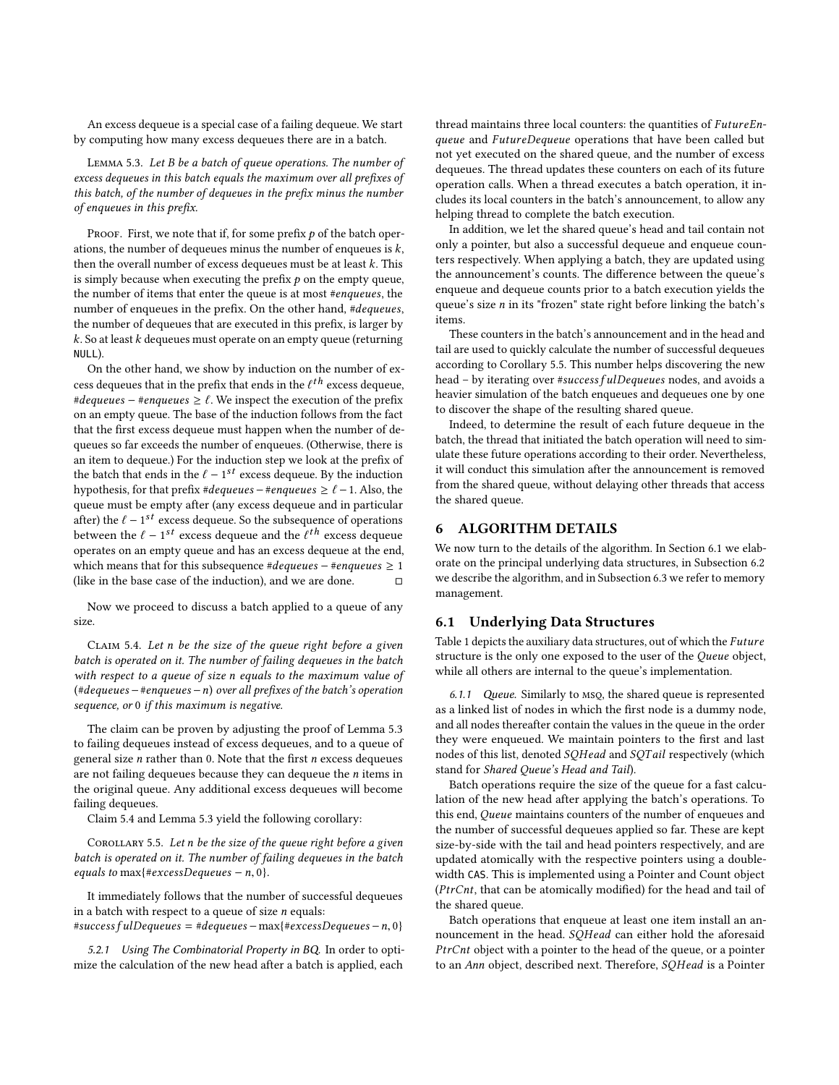An excess dequeue is a special case of a failing dequeue. We start by computing how many excess dequeues there are in a batch.

<span id="page-4-1"></span>Lemma 5.3. Let B be a batch of queue operations. The number of excess dequeues in this batch equals the maximum over all prefixes of this batch, of the number of dequeues in the prefix minus the number of enqueues in this prefix.

PROOF. First, we note that if, for some prefix  $p$  of the batch operations, the number of dequeues minus the number of enqueues is  $k$ , then the overall number of excess dequeues must be at least  $k$ . This is simply because when executing the prefix  $p$  on the empty queue, the number of items that enter the queue is at most #enqueues, the number of enqueues in the prefix. On the other hand, #dequeues, the number of dequeues that are executed in this prefix, is larger by  $k$ . So at least  $k$  dequeues must operate on an empty queue (returning NULL).

On the other hand, we show by induction on the number of excess dequeues that in the prefix that ends in the  $\ell^{th}$  excess dequeue,<br>#dequeues – #enqueues >  $\ell$ . We inspect the execution of the prefix #dequeues – #enqueues  $\geq \ell$ . We inspect the execution of the prefix on an empty queue. The base of the induction follows from the fact that the first excess dequeue must happen when the number of dequeues so far exceeds the number of enqueues. (Otherwise, there is an item to dequeue.) For the induction step we look at the prefix of the batch that ends in the  $\ell - 1^{st}$  excess dequeue. By the induction<br>by pothesis for that prefix *#dequeues*  $-\ell$  *#enqueues*  $> \ell - 1$ . Also, the hypothesis, for that prefix #dequeues – #enqueues  $\geq \ell - 1$ . Also, the queue must be empty after (any excess dequeue and in particular after) the  $\ell - 1^{st}$  excess dequeue. So the subsequence of operations between the  $\ell - 1^{st}$  excess dequangement the  $\ell^t$  excess dequangement between the  $\ell - 1^{st}$  excess dequeue and the  $\ell^{th}$  excess dequeue<br>operates on an empty queue and has an excess dequeue at the end operates on an empty queue and has an excess dequeue at the end, which means that for this subsequence #dequeues – #enqueues ≥ 1<br>(like in the base case of the induction) and we are done (like in the base case of the induction), and we are done.

Now we proceed to discuss a batch applied to a queue of any size.

<span id="page-4-2"></span>CLAIM 5.4. Let n be the size of the queue right before a given batch is operated on it. The number of failing dequeues in the batch with respect to a queue of size n equals to the maximum value of  $(*dequeues - \#enqueues - n)$  over all prefixes of the batch's operation sequence, or 0 if this maximum is negative.

The claim can be proven by adjusting the proof of Lemma [5.3](#page-4-1) to failing dequeues instead of excess dequeues, and to a queue of general size  $n$  rather than 0. Note that the first  $n$  excess dequeues are not failing dequeues because they can dequeue the n items in the original queue. Any additional excess dequeues will become failing dequeues.

Claim [5.4](#page-4-2) and Lemma [5.3](#page-4-1) yield the following corollary:

<span id="page-4-3"></span>COROLLARY 5.5. Let n be the size of the queue right before a given batch is operated on it. The number of failing dequeues in the batch equals to max ${#excessDequeues - n, 0}.$ 

It immediately follows that the number of successful dequeues in a batch with respect to a queue of size  $n$  equals:

 $#successfulDequeues = #dequeues - max{#excessDequeues - n, 0}$ 

5.2.1 Using The Combinatorial Property in BQ. In order to optimize the calculation of the new head after a batch is applied, each

thread maintains three local counters: the quantities of FutureEnqueue and FutureDequeue operations that have been called but not yet executed on the shared queue, and the number of excess dequeues. The thread updates these counters on each of its future operation calls. When a thread executes a batch operation, it includes its local counters in the batch's announcement, to allow any helping thread to complete the batch execution.

In addition, we let the shared queue's head and tail contain not only a pointer, but also a successful dequeue and enqueue counters respectively. When applying a batch, they are updated using the announcement's counts. The difference between the queue's enqueue and dequeue counts prior to a batch execution yields the queue's size  $n$  in its "frozen" state right before linking the batch's items.

These counters in the batch's announcement and in the head and tail are used to quickly calculate the number of successful dequeues according to Corollary [5.5.](#page-4-3) This number helps discovering the new head – by iterating over #success f ulDequeues nodes, and avoids a heavier simulation of the batch enqueues and dequeues one by one to discover the shape of the resulting shared queue.

Indeed, to determine the result of each future dequeue in the batch, the thread that initiated the batch operation will need to simulate these future operations according to their order. Nevertheless, it will conduct this simulation after the announcement is removed from the shared queue, without delaying other threads that access the shared queue.

# <span id="page-4-0"></span>6 ALGORITHM DETAILS

We now turn to the details of the algorithm. In Section [6.1](#page-4-4) we elaborate on the principal underlying data structures, in Subsection [6.2](#page-5-0) we describe the algorithm, and in Subsection [6.3](#page-8-1) we refer to memory management.

# <span id="page-4-4"></span>6.1 Underlying Data Structures

Table [1](#page-5-1) depicts the auxiliary data structures, out of which the Future structure is the only one exposed to the user of the Queue object, while all others are internal to the queue's implementation.

6.1.1 Queue. Similarly to msq, the shared queue is represented as a linked list of nodes in which the first node is a dummy node, and all nodes thereafter contain the values in the queue in the order they were enqueued. We maintain pointers to the first and last nodes of this list, denoted SQHead and SQTail respectively (which stand for Shared Queue's Head and Tail).

Batch operations require the size of the queue for a fast calculation of the new head after applying the batch's operations. To this end, Queue maintains counters of the number of enqueues and the number of successful dequeues applied so far. These are kept size-by-side with the tail and head pointers respectively, and are updated atomically with the respective pointers using a doublewidth CAS. This is implemented using a Pointer and Count object (PtrCnt, that can be atomically modified) for the head and tail of the shared queue.

Batch operations that enqueue at least one item install an announcement in the head. SQHead can either hold the aforesaid PtrCnt object with a pointer to the head of the queue, or a pointer to an Ann object, described next. Therefore, SQHead is a Pointer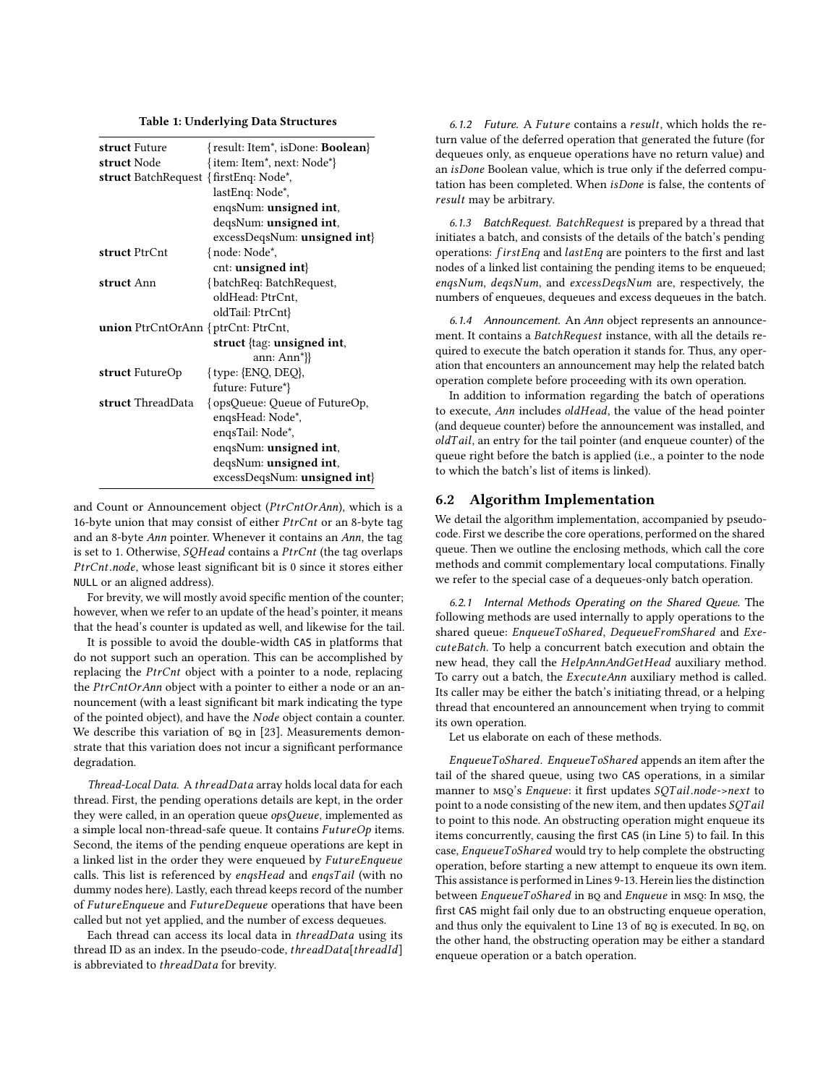| Table 1: Underlying Data Structures |  |
|-------------------------------------|--|
|-------------------------------------|--|

<span id="page-5-1"></span>

| struct Future                                              | {result: Item <sup>*</sup> , isDone: <b>Boolean</b> } |
|------------------------------------------------------------|-------------------------------------------------------|
| struct Node                                                | {item: Item*, next: Node*}                            |
| <b>struct</b> BatchRequest { firstEnq: Node <sup>*</sup> , |                                                       |
|                                                            | lastEnq: Node*,                                       |
|                                                            | enqsNum: <b>unsigned</b> int,                         |
|                                                            | degsNum: <b>unsigned</b> int,                         |
|                                                            | $excessDeqsNum:$ unsigned int                         |
| struct PtrCnt                                              | {node: Node*,                                         |
|                                                            | cnt: <b>unsigned</b> int $\}$                         |
| struct Ann                                                 | {batchReq: BatchRequest,                              |
|                                                            | oldHead: PtrCnt.                                      |
|                                                            | oldTail: PtrCnt}                                      |
| <b>union</b> PtrCntOrAnn { $ptrCnt$ : PtrCnt,              |                                                       |
|                                                            | struct $\{tag:$ unsigned int,                         |
|                                                            | ann: $Ann^*$ }}                                       |
| struct FutureOp                                            | ${type: {END, DEQ},$                                  |
|                                                            | future: Future*}                                      |
| struct ThreadData                                          | {opsQueue: Queue of FutureOp,                         |
|                                                            | engsHead: Node*,                                      |
|                                                            | enqsTail: Node*,                                      |
|                                                            | enqsNum: <b>unsigned</b> int,                         |
|                                                            | deqsNum: <b>unsigned</b> int,                         |
|                                                            | $excess$ DeqsNum: <b>unsigned int</b> $\}$            |

and Count or Announcement object (PtrCntOrAnn), which is a 16-byte union that may consist of either PtrCnt or an 8-byte tag and an 8-byte Ann pointer. Whenever it contains an Ann, the tag is set to 1. Otherwise, SQHead contains a PtrCnt (the tag overlaps PtrCnt.node, whose least significant bit is 0 since it stores either NULL or an aligned address).

For brevity, we will mostly avoid specific mention of the counter; however, when we refer to an update of the head's pointer, it means that the head's counter is updated as well, and likewise for the tail.

It is possible to avoid the double-width CAS in platforms that do not support such an operation. This can be accomplished by replacing the PtrCnt object with a pointer to a node, replacing the PtrCntOrAnn object with a pointer to either a node or an announcement (with a least significant bit mark indicating the type of the pointed object), and have the Node object contain a counter. We describe this variation of  $BQ$  in [\[23\]](#page-10-4). Measurements demonstrate that this variation does not incur a significant performance degradation.

Thread-Local Data. <sup>A</sup> threadData array holds local data for each thread. First, the pending operations details are kept, in the order they were called, in an operation queue opsQueue, implemented as a simple local non-thread-safe queue. It contains FutureOp items. Second, the items of the pending enqueue operations are kept in a linked list in the order they were enqueued by FutureEnqueue calls. This list is referenced by enqsHead and enqsTail (with no dummy nodes here). Lastly, each thread keeps record of the number of FutureEnqueue and FutureDequeue operations that have been called but not yet applied, and the number of excess dequeues.

Each thread can access its local data in threadData using its thread ID as an index. In the pseudo-code, threadData[threadId] is abbreviated to threadData for brevity.

6.1.2 Future. <sup>A</sup> Future contains a result, which holds the return value of the deferred operation that generated the future (for dequeues only, as enqueue operations have no return value) and an isDone Boolean value, which is true only if the deferred computation has been completed. When isDone is false, the contents of result may be arbitrary.

6.1.3 BatchRequest. BatchRequest is prepared by a thread that initiates a batch, and consists of the details of the batch's pending operations: firstEnq and lastEnq are pointers to the first and last nodes of a linked list containing the pending items to be enqueued; enqsNum, deqsNum, and excessDeqsNum are, respectively, the numbers of enqueues, dequeues and excess dequeues in the batch.

6.1.4 Announcement. An Ann object represents an announcement. It contains a BatchRequest instance, with all the details required to execute the batch operation it stands for. Thus, any operation that encounters an announcement may help the related batch operation complete before proceeding with its own operation.

In addition to information regarding the batch of operations to execute, Ann includes oldHead, the value of the head pointer (and dequeue counter) before the announcement was installed, and  $oldTail$ , an entry for the tail pointer (and enqueue counter) of the queue right before the batch is applied (i.e., a pointer to the node to which the batch's list of items is linked).

#### <span id="page-5-0"></span>6.2 Algorithm Implementation

We detail the algorithm implementation, accompanied by pseudocode. First we describe the core operations, performed on the shared queue. Then we outline the enclosing methods, which call the core methods and commit complementary local computations. Finally we refer to the special case of a dequeues-only batch operation.

<span id="page-5-2"></span>6.2.1 Internal Methods Operating on the Shared Queue. The following methods are used internally to apply operations to the shared queue: EnqueueToShared, DequeueFromShared and ExecuteBatch. To help a concurrent batch execution and obtain the new head, they call the HelpAnnAndGetHead auxiliary method. To carry out a batch, the ExecuteAnn auxiliary method is called. Its caller may be either the batch's initiating thread, or a helping thread that encountered an announcement when trying to commit its own operation.

Let us elaborate on each of these methods.

EnqueueToShared. EnqueueToShared appends an item after the tail of the shared queue, using two CAS operations, in a similar manner to MSQ's Enqueue: it first updates SQTail.node->next to point to a node consisting of the new item, and then updates SQTail to point to this node. An obstructing operation might enqueue its items concurrently, causing the first CAS (in Line [5\)](#page-6-0) to fail. In this case, EnqueueToShared would try to help complete the obstructing operation, before starting a new attempt to enqueue its own item. This assistance is performed in Lines [9-](#page-6-1)[13.](#page-6-2) Herein lies the distinction between EnqueueToShared in BQ and Enqueue in MSQ: In MSQ, the first CAS might fail only due to an obstructing enqueue operation, and thus only the equivalent to Line [13](#page-6-2) of BQ is executed. In BQ, on the other hand, the obstructing operation may be either a standard enqueue operation or a batch operation.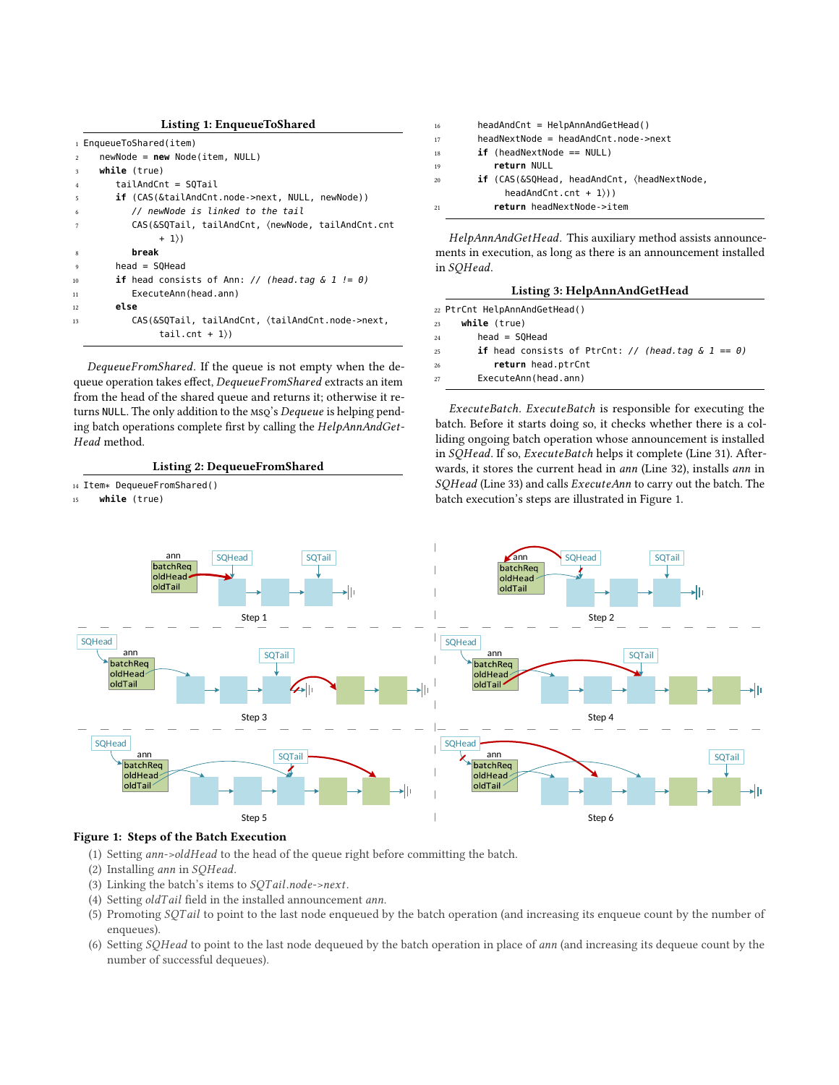<span id="page-6-0"></span>

|                | Listing 1: EnqueueToShared                                              |
|----------------|-------------------------------------------------------------------------|
|                | 1 EnqueueToShared(item)                                                 |
| $\overline{c}$ | $newNode = new Node(item, NULL)$                                        |
| 3              | while (true)                                                            |
| $\overline{4}$ | tailAndCnt = SOTail                                                     |
| -5             | <b>if</b> (CAS(&tailAndCnt.node->next, NULL, newNode))                  |
| 6              | // newNode is linked to the tail                                        |
| $\overline{7}$ | CAS(&SQTail, tailAndCnt, <newnode, tailandcnt.cnt<="" th=""></newnode,> |
|                | $+ 1)$                                                                  |
| $\mathbf{g}$   | break                                                                   |
| 9              | $head = SOHead$                                                         |
| 10             | <b>if</b> head consists of Ann: // (head.tag $\&$ 1 != 0)               |
| 11             | ExecuteAnn(head.ann)                                                    |
| 12             | else                                                                    |
| 13             | CAS(&SQTail, tailAndCnt, (tailAndCnt.node->next,<br>tail.cnt + $1$ )    |

<span id="page-6-2"></span><span id="page-6-1"></span>DequeueFromShared. If the queue is not empty when the dequeue operation takes effect, DequeueFromShared extracts an item from the head of the shared queue and returns it; otherwise it returns NULL. The only addition to the MSQ's Dequeue is helping pending batch operations complete first by calling the HelpAnnAndGet-Head method.

Listing 2: DequeueFromShared

<sup>14</sup> Item\* DequeueFromShared()

<span id="page-6-3"></span>15 **while** (true)



HelpAnnAndGetHead. This auxiliary method assists announcements in execution, as long as there is an announcement installed in SQHead.

| Listing 3: HelpAnnAndGetHead |
|------------------------------|
|                              |

|    | 22 PtrCnt HelpAnnAndGetHead()                                |
|----|--------------------------------------------------------------|
|    | while (true)<br>23                                           |
| 24 | $head = SOHead$                                              |
| 25 | <b>if</b> head consists of PtrCnt: // (head.tag $\&$ 1 == 0) |
| 26 | return head.ptrCnt                                           |

ExecuteAnn(head.ann)

ExecuteBatch. ExecuteBatch is responsible for executing the batch. Before it starts doing so, it checks whether there is a colliding ongoing batch operation whose announcement is installed in SQHead. If so, ExecuteBatch helps it complete (Line [31\)](#page-7-0). Afterwards, it stores the current head in ann (Line [32\)](#page-7-1), installs ann in SQHead (Line [33\)](#page-7-2) and calls ExecuteAnn to carry out the batch. The batch execution's steps are illustrated in Figure [1.](#page-6-3)



# Figure 1: Steps of the Batch Execution

- (1) Setting ann->oldHead to the head of the queue right before committing the batch.
- (2) Installing ann in SQHead.
- (3) Linking the batch's items to SQTail.node->next.
- (4) Setting oldTail field in the installed announcement ann.
- (5) Promoting SQTail to point to the last node enqueued by the batch operation (and increasing its enqueue count by the number of enqueues).
- (6) Setting SQHead to point to the last node dequeued by the batch operation in place of ann (and increasing its dequeue count by the number of successful dequeues).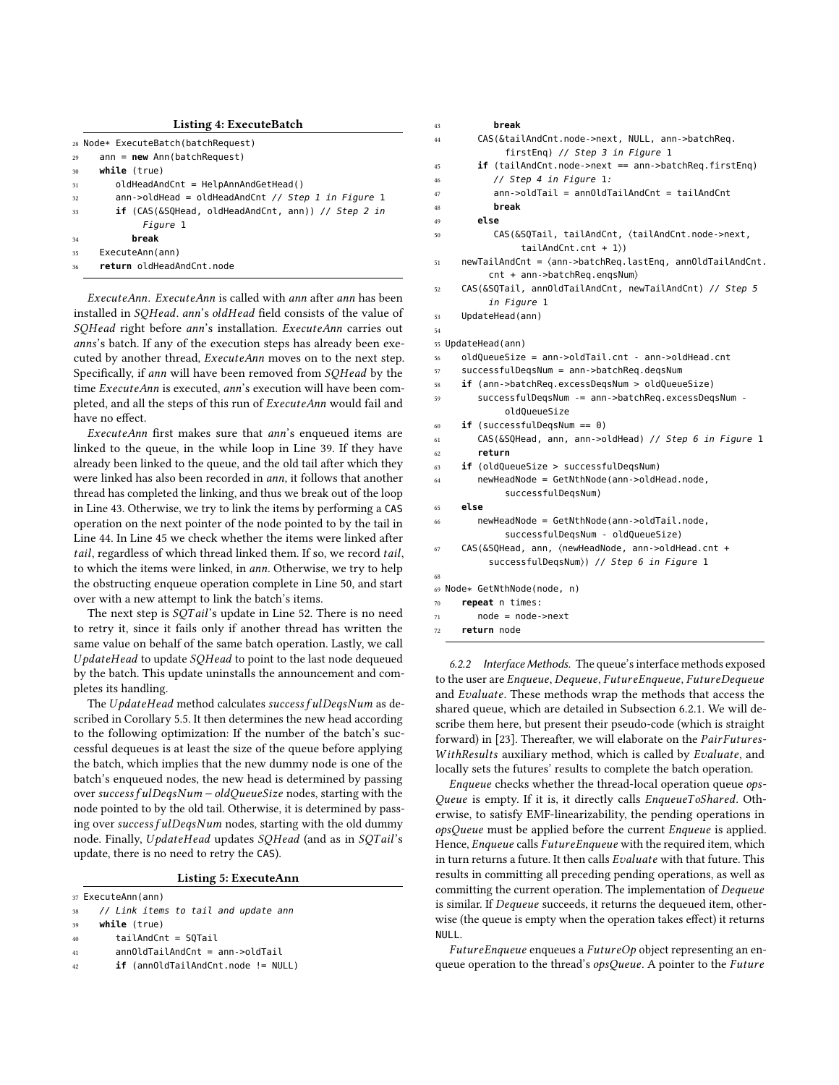<span id="page-7-2"></span><span id="page-7-1"></span><span id="page-7-0"></span>

|    | Listing 4: ExecuteBatch                                           |
|----|-------------------------------------------------------------------|
|    | 28 Node* ExecuteBatch(batchRequest)                               |
| 29 | $ann = new Ann(batchRequest)$                                     |
| 30 | while (true)                                                      |
| 31 | $oldHeadAndCnt = HelpAnnAndGetHead()$                             |
| 32 | $ann->oldHead = oldHeadAndCnt // Step 1 in Figure 1$              |
| 33 | <b>if</b> (CAS(&SQHead, oldHeadAndCnt, ann)) // St <i>ep 2 in</i> |
|    | Figure 1                                                          |
| 34 | break                                                             |
| 35 | ExecuteAnn(ann)                                                   |
| 36 | return oldHeadAndCnt.node                                         |
|    |                                                                   |

ExecuteAnn. ExecuteAnn is called with ann after ann has been installed in SQHead. ann's oldHead field consists of the value of SQHead right before ann's installation. ExecuteAnn carries out anns's batch. If any of the execution steps has already been executed by another thread, ExecuteAnn moves on to the next step. Specifically, if ann will have been removed from SOHead by the time ExecuteAnn is executed, ann's execution will have been completed, and all the steps of this run of ExecuteAnn would fail and have no effect.

ExecuteAnn first makes sure that ann's enqueued items are linked to the queue, in the while loop in Line [39.](#page-7-3) If they have already been linked to the queue, and the old tail after which they were linked has also been recorded in ann, it follows that another thread has completed the linking, and thus we break out of the loop in Line [43.](#page-7-4) Otherwise, we try to link the items by performing a CAS operation on the next pointer of the node pointed to by the tail in Line [44.](#page-7-5) In Line [45](#page-7-6) we check whether the items were linked after tail, regardless of which thread linked them. If so, we record tail, to which the items were linked, in ann. Otherwise, we try to help the obstructing enqueue operation complete in Line [50,](#page-7-7) and start over with a new attempt to link the batch's items.

The next step is SQTail's update in Line [52.](#page-7-8) There is no need to retry it, since it fails only if another thread has written the same value on behalf of the same batch operation. Lastly, we call UpdateHead to update SQHead to point to the last node dequeued by the batch. This update uninstalls the announcement and completes its handling.

The UpdateHead method calculates success fulDeqsNum as described in Corollary [5.5.](#page-4-3) It then determines the new head according to the following optimization: If the number of the batch's successful dequeues is at least the size of the queue before applying the batch, which implies that the new dummy node is one of the batch's enqueued nodes, the new head is determined by passing over success f ulDeqsNum <sup>−</sup>oldQueueSize nodes, starting with the node pointed to by the old tail. Otherwise, it is determined by passing over success fulDeqsNum nodes, starting with the old dummy node. Finally, UpdateHead updates SQHead (and as in SQTail's update, there is no need to retry the CAS).

#### Listing 5: ExecuteAnn

<span id="page-7-9"></span>37 ExecuteAnn(ann)

- <span id="page-7-3"></span>38 // Link items to tail and update ann
- 39 **while** (true)
- $40$  tailAndCnt = SOTail
- 41 annOldTailAndCnt = ann->oldTail
- 42 **if** (annOldTailAndCnt.node != NULL)

<span id="page-7-8"></span><span id="page-7-7"></span><span id="page-7-6"></span><span id="page-7-5"></span><span id="page-7-4"></span>

| 43 | break                                                                |
|----|----------------------------------------------------------------------|
| 44 | CAS(&tailAndCnt.node->next, NULL, ann->batchReq.                     |
|    | firstEnq) // Step 3 in Figure 1                                      |
| 45 | $if$ (tailAndCnt.node->next == ann->batchReq.firstEnq)               |
| 46 | // Step 4 in Figure 1:                                               |
| 47 | ann->oldTail = annOldTailAndCnt = tailAndCnt                         |
| 48 | break                                                                |
| 49 | else                                                                 |
| 50 | CAS(&SQTail, tailAndCnt, (tailAndCnt.node->next,                     |
|    | $tailAndCnt.cnt + 1$ )                                               |
| 51 | $newTailAndCnt = \langle ann->batchReg,lastEng, annOldTailAndCnt.$   |
|    | cnt + ann->batchReq.engsNum)                                         |
| 52 | CAS(&SQTail, annOldTailAndCnt, newTailAndCnt) // Step 5              |
|    | in Figure 1                                                          |
| 53 | UpdateHead(ann)                                                      |
| 54 |                                                                      |
| 55 | UpdateHead(ann)                                                      |
| 56 | oldQueueSize = ann->oldTail.cnt - ann->oldHead.cnt                   |
| 57 | successfulDegsNum = ann->batchReg.degsNum                            |
| 58 | $if$ (ann->batchReq.excessDeqsNum > oldQueueSize)                    |
| 59 | successfulDegsNum -= ann->batchReg.excessDegsNum -                   |
|    | oldQueueSize                                                         |
| 60 | $if$ (successfulDeqsNum == 0)                                        |
| 61 | CAS(&SQHead, ann, ann->oldHead) // Step 6 in Figure 1                |
| 62 | return                                                               |
| 63 | <b>if</b> (oldQueueSize > successfulDeqsNum)                         |
| 64 | newHeadNode = GetNthNode(ann->oldHead.node,                          |
|    | successfulDegsNum)                                                   |
| 65 | else                                                                 |
| 66 | newHeadNode = GetNthNode(ann->oldTail.node,                          |
|    | successfulDegsNum - oldQueueSize)                                    |
| 67 | CAS(&SQHead, ann, <newheadnode, ann-="">oldHead.cnt +</newheadnode,> |
|    | successfulDeqsNum)) // Step 6 in Figure 1                            |
| 68 |                                                                      |
|    | 69 Node* GetNthNode(node, n)                                         |
| 70 | repeat n times:                                                      |
| 71 | $node = node - \nvert x$                                             |
| 72 | return node                                                          |

6.2.2 Interface Methods. The queue's interface methods exposed to the user are Enqueue, Dequeue, FutureEnqueue, FutureDequeue and Evaluate. These methods wrap the methods that access the shared queue, which are detailed in Subsection [6.2.1.](#page-5-2) We will describe them here, but present their pseudo-code (which is straight forward) in [\[23\]](#page-10-4). Thereafter, we will elaborate on the PairFutures-WithResults auxiliary method, which is called by Evaluate, and locally sets the futures' results to complete the batch operation.

Enqueue checks whether the thread-local operation queue ops-Queue is empty. If it is, it directly calls EnqueueToShared. Otherwise, to satisfy EMF-linearizability, the pending operations in opsQueue must be applied before the current Enqueue is applied. Hence, Enqueue calls FutureEnqueue with the required item, which in turn returns a future. It then calls Evaluate with that future. This results in committing all preceding pending operations, as well as committing the current operation. The implementation of Dequeue is similar. If Dequeue succeeds, it returns the dequeued item, otherwise (the queue is empty when the operation takes effect) it returns NULL.

FutureEnqueue enqueues a FutureOp object representing an enqueue operation to the thread's opsQueue. A pointer to the Future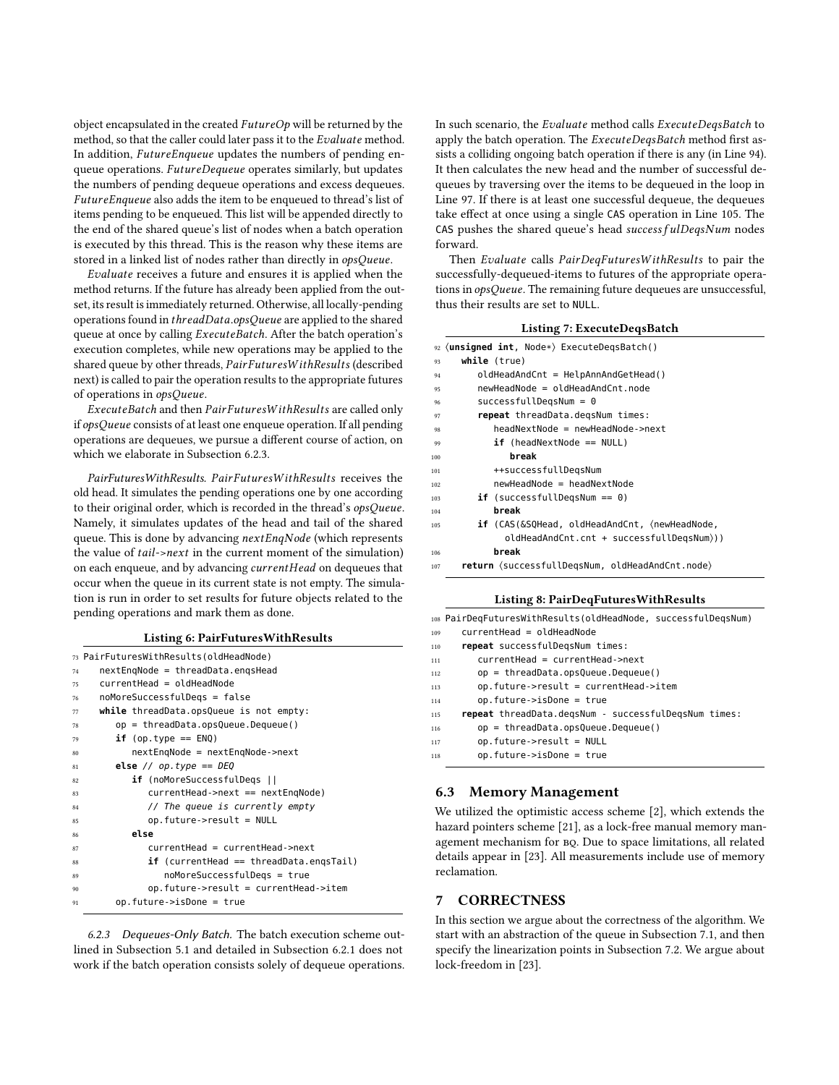object encapsulated in the created  $FutureOp$  will be returned by the method, so that the caller could later pass it to the Evaluate method. In addition, FutureEnqueue updates the numbers of pending enqueue operations. FutureDequeue operates similarly, but updates the numbers of pending dequeue operations and excess dequeues. FutureEnqueue also adds the item to be enqueued to thread's list of items pending to be enqueued. This list will be appended directly to the end of the shared queue's list of nodes when a batch operation is executed by this thread. This is the reason why these items are stored in a linked list of nodes rather than directly in opsQueue.

Evaluate receives a future and ensures it is applied when the method returns. If the future has already been applied from the outset, its result is immediately returned. Otherwise, all locally-pending operations found in threadData.opsQueue are applied to the shared queue at once by calling ExecuteBatch. After the batch operation's execution completes, while new operations may be applied to the shared queue by other threads, PairFuturesW ithResults (described next) is called to pair the operation results to the appropriate futures of operations in opsQueue.

ExecuteBatch and then PairFuturesW ithResults are called only if opsQueue consists of at least one enqueue operation. If all pending operations are dequeues, we pursue a different course of action, on which we elaborate in Subsection [6.2.3.](#page-8-2)

PairFuturesWithResults. PairFuturesW ithResults receives the old head. It simulates the pending operations one by one according to their original order, which is recorded in the thread's opsQueue. Namely, it simulates updates of the head and tail of the shared queue. This is done by advancing nextEnqNode (which represents the value of tail->next in the current moment of the simulation) on each enqueue, and by advancing currentHead on dequeues that occur when the queue in its current state is not empty. The simulation is run in order to set results for future objects related to the pending operations and mark them as done.

| <b>Listing 6: PairFuturesWithResults</b> |  |  |  |  |  |  |
|------------------------------------------|--|--|--|--|--|--|
|------------------------------------------|--|--|--|--|--|--|

|    | 73 PairFuturesWithResults(oldHeadNode)       |
|----|----------------------------------------------|
| 74 | nextEngNode = threadData.engsHead            |
| 75 | currentHead = oldHeadNode                    |
| 76 | noMoreSuccessfulDegs = false                 |
| 77 | while threadData.opsQueue is not empty:      |
| 78 | $op =$ threadData.opsQueue.Dequeue()         |
| 79 | $if (op-type == ENQ)$                        |
| 80 | nextEngNode = nextEngNode->next              |
| 81 | else // $op. type == DEQ$                    |
| 82 | <b>if</b> (noMoreSuccessfulDegs              |
| 83 | $currentHead - \text{next} == nextEngNode)$  |
| 84 | // The queue is currently empty              |
| 85 | $op.$ future->result = NULL                  |
| 86 | else                                         |
| 87 | currentHead = currentHead->next              |
| 88 | $if$ (current Head == thread Data.engs Tail) |
| 89 | noMoreSuccessfulDegs = true                  |
| 90 | op.future->result = currentHead->item        |
| 91 | $op.$ future- $\gt$ isDone = true            |
|    |                                              |

<span id="page-8-2"></span>6.2.3 Dequeues-Only Batch. The batch execution scheme outlined in Subsection [5.1](#page-3-2) and detailed in Subsection [6.2.1](#page-5-2) does not work if the batch operation consists solely of dequeue operations.

In such scenario, the Evaluate method calls ExecuteDeqsBatch to apply the batch operation. The ExecuteDeqsBatch method first assists a colliding ongoing batch operation if there is any (in Line [94\)](#page-8-3). It then calculates the new head and the number of successful dequeues by traversing over the items to be dequeued in the loop in Line [97.](#page-8-4) If there is at least one successful dequeue, the dequeues take effect at once using a single CAS operation in Line [105.](#page-8-5) The CAS pushes the shared queue's head success  $fullDegsNum$  nodes forward.

Then Evaluate calls PairDeqFuturesW ithResults to pair the successfully-dequeued-items to futures of the appropriate operations in opsQueue. The remaining future dequeues are unsuccessful, thus their results are set to NULL.

|  | Listing 7: ExecuteDeqsBatch |  |
|--|-----------------------------|--|
|--|-----------------------------|--|

<span id="page-8-8"></span><span id="page-8-7"></span><span id="page-8-6"></span><span id="page-8-4"></span><span id="page-8-3"></span>

|     | 92 (unsigned int, Node*) ExecuteDeqsBatch()                                  |
|-----|------------------------------------------------------------------------------|
| 93  | while (true)                                                                 |
| 94  | oldHeadAndCnt = HelpAnnAndGetHead()                                          |
| 95  | newHeadNode = oldHeadAndCnt.node                                             |
| 96  | $successfullyeqslum = 0$                                                     |
| 97  | repeat threadData.degsNum times:                                             |
| 98  | headNextNode = newHeadNode->next                                             |
| 99  | $if$ (headNextNode == NULL)                                                  |
| 100 | break                                                                        |
| 101 | ++successfullDegsNum                                                         |
| 102 | newHeadNode = headNextNode                                                   |
| 103 | $if$ (successfullDegsNum == 0)                                               |
| 104 | break                                                                        |
| 105 | <b>if</b> (CAS(&SQHead, oldHeadAndCnt, <newheadnode,< th=""></newheadnode,<> |
|     | oldHeadAndCnt.cnt + successfullDegsNum)))                                    |
| 106 | break                                                                        |
| 107 | return (successfullDegsNum, oldHeadAndCnt.node)                              |

#### <span id="page-8-5"></span>Listing 8: PairDeqFuturesWithResults

|     | 108 PairDeqFuturesWithResults(oldHeadNode, successfulDeqsNum) |
|-----|---------------------------------------------------------------|
| 109 | $currentHead = oldHeadNode$                                   |
| 110 | repeat successfulDegsNum times:                               |
| 111 | $currentHead = currentHead$ - $next$                          |
| 112 | $op =$ threadData.opsQueue.Dequeue()                          |
| 113 | op.future->result = currentHead->item                         |
| 114 | $op.$ future- $\gt$ isDone = true                             |
| 115 | repeat threadData.degsNum - successfulDegsNum times:          |
| 116 | $op =$ threadData.opsQueue.Dequeue()                          |
| 117 | $op.$ future- $>$ result = NULL                               |
| 118 | $op.$ future- $\gt$ isDone = true                             |
|     |                                                               |

#### <span id="page-8-1"></span>6.3 Memory Management

We utilized the optimistic access scheme [\[2\]](#page-10-27), which extends the hazard pointers scheme [\[21\]](#page-10-28), as a lock-free manual memory management mechanism for BQ. Due to space limitations, all related details appear in [\[23\]](#page-10-4). All measurements include use of memory reclamation.

#### <span id="page-8-0"></span>7 CORRECTNESS

In this section we argue about the correctness of the algorithm. We start with an abstraction of the queue in Subsection [7.1,](#page-9-1) and then specify the linearization points in Subsection [7.2.](#page-9-2) We argue about lock-freedom in [\[23\]](#page-10-4).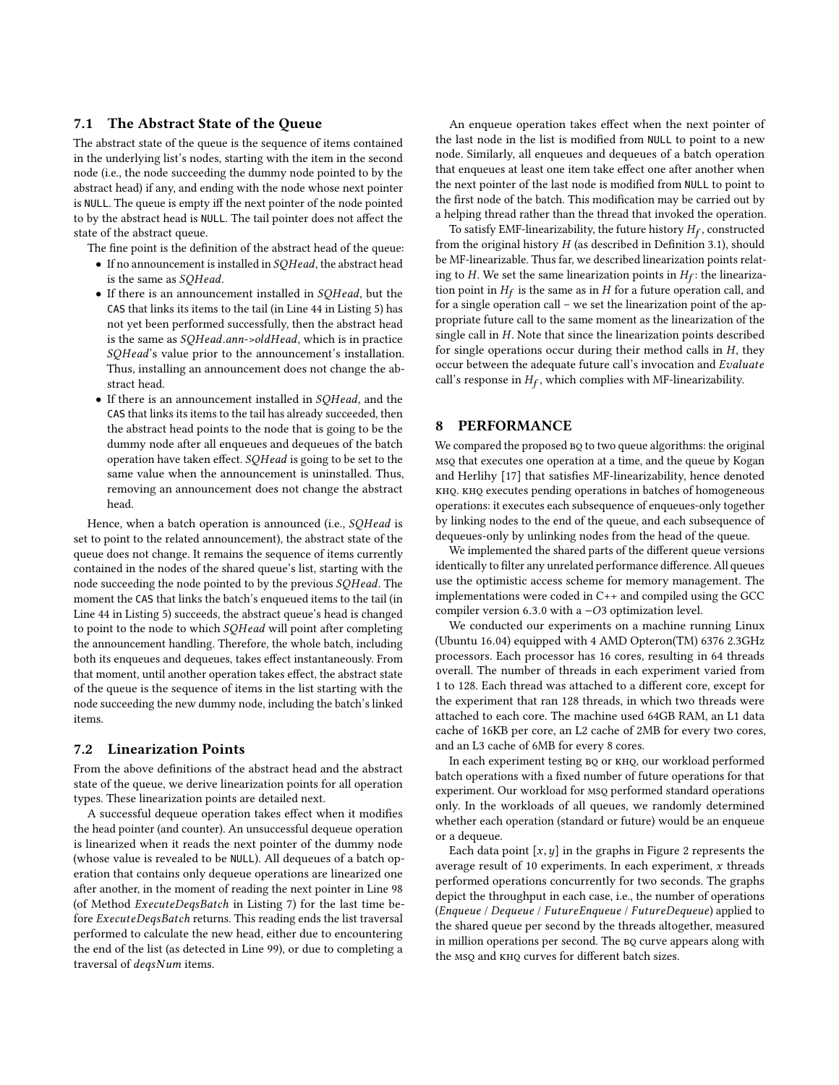# <span id="page-9-1"></span>7.1 The Abstract State of the Queue

The abstract state of the queue is the sequence of items contained in the underlying list's nodes, starting with the item in the second node (i.e., the node succeeding the dummy node pointed to by the abstract head) if any, and ending with the node whose next pointer is NULL. The queue is empty iff the next pointer of the node pointed to by the abstract head is NULL. The tail pointer does not affect the state of the abstract queue.

The fine point is the definition of the abstract head of the queue:

- If no announcement is installed in SQHead, the abstract head is the same as SQHead.
- If there is an announcement installed in SQHead, but the CAS that links its items to the tail (in Line [44](#page-7-5) in Listing [5\)](#page-7-9) has not yet been performed successfully, then the abstract head is the same as SQHead.ann->oldHead, which is in practice SQHead's value prior to the announcement's installation. Thus, installing an announcement does not change the abstract head.
- If there is an announcement installed in SQHead, and the CAS that links its items to the tail has already succeeded, then the abstract head points to the node that is going to be the dummy node after all enqueues and dequeues of the batch operation have taken effect. SQHead is going to be set to the same value when the announcement is uninstalled. Thus, removing an announcement does not change the abstract head.

Hence, when a batch operation is announced (i.e., SQHead is set to point to the related announcement), the abstract state of the queue does not change. It remains the sequence of items currently contained in the nodes of the shared queue's list, starting with the node succeeding the node pointed to by the previous SQHead. The moment the CAS that links the batch's enqueued items to the tail (in Line [44](#page-7-5) in Listing [5\)](#page-7-9) succeeds, the abstract queue's head is changed to point to the node to which SQHead will point after completing the announcement handling. Therefore, the whole batch, including both its enqueues and dequeues, takes effect instantaneously. From that moment, until another operation takes effect, the abstract state of the queue is the sequence of items in the list starting with the node succeeding the new dummy node, including the batch's linked items.

#### <span id="page-9-2"></span>7.2 Linearization Points

From the above definitions of the abstract head and the abstract state of the queue, we derive linearization points for all operation types. These linearization points are detailed next.

A successful dequeue operation takes effect when it modifies the head pointer (and counter). An unsuccessful dequeue operation is linearized when it reads the next pointer of the dummy node (whose value is revealed to be NULL). All dequeues of a batch operation that contains only dequeue operations are linearized one after another, in the moment of reading the next pointer in Line [98](#page-8-6) (of Method ExecuteDeqsBatch in Listing [7\)](#page-8-7) for the last time before ExecuteDeqsBatch returns. This reading ends the list traversal performed to calculate the new head, either due to encountering the end of the list (as detected in Line [99\)](#page-8-8), or due to completing a traversal of deqsNum items.

An enqueue operation takes effect when the next pointer of the last node in the list is modified from NULL to point to a new node. Similarly, all enqueues and dequeues of a batch operation that enqueues at least one item take effect one after another when the next pointer of the last node is modified from NULL to point to the first node of the batch. This modification may be carried out by a helping thread rather than the thread that invoked the operation.

To satisfy EMF-linearizability, the future history  $H_f$ , constructed<br>m the original history H (as described in Definition 3.1), should from the original history  $H$  (as described in Definition [3.1\)](#page-2-1), should be MF-linearizable. Thus far, we described linearization points relating to H. We set the same linearization points in  $H_f$ : the linearization point in  $H_s$  is the same as in H for a future operation call and tion point in  $H_f$  is the same as in H for a future operation call, and for a single operation call – we set the linearization point of the approximation for a single operation call – we set the linearization point of the appropriate future call to the same moment as the linearization of the single call in H. Note that since the linearization points described for single operations occur during their method calls in  $H$ , they occur between the adequate future call's invocation and Evaluate call's response in  $H_f$ , which complies with MF-linearizability.

# <span id="page-9-0"></span>8 PERFORMANCE

We compared the proposed  $BQ$  to two queue algorithms: the original msq that executes one operation at a time, and the queue by Kogan and Herlihy [\[17\]](#page-10-1) that satisfies MF-linearizability, hence denoted KHQ. KHQ executes pending operations in batches of homogeneous operations: it executes each subsequence of enqueues-only together by linking nodes to the end of the queue, and each subsequence of dequeues-only by unlinking nodes from the head of the queue.

We implemented the shared parts of the different queue versions identically to filter any unrelated performance difference. All queues use the optimistic access scheme for memory management. The implementations were coded in C++ and compiled using the GCC compiler version <sup>6</sup>.3.<sup>0</sup> with a <sup>−</sup>O<sup>3</sup> optimization level.

We conducted our experiments on a machine running Linux (Ubuntu <sup>16</sup>.04) equipped with <sup>4</sup> AMD Opteron(TM) 6376 2.3GHz processors. Each processor has 16 cores, resulting in 64 threads overall. The number of threads in each experiment varied from 1 to 128. Each thread was attached to a different core, except for the experiment that ran 128 threads, in which two threads were attached to each core. The machine used 64GB RAM, an L1 data cache of 16KB per core, an L2 cache of 2MB for every two cores, and an L3 cache of 6MB for every 8 cores.

In each experiment testing BQ or KHQ, our workload performed batch operations with a fixed number of future operations for that experiment. Our workload for msq performed standard operations only. In the workloads of all queues, we randomly determined whether each operation (standard or future) would be an enqueue or a dequeue.

Each data point  $[x, y]$  in the graphs in Figure [2](#page-10-29) represents the average result of 10 experiments. In each experiment,  $x$  threads performed operations concurrently for two seconds. The graphs depict the throughput in each case, i.e., the number of operations (Enqueue / Dequeue / FutureEnqueue / FutureDequeue) applied to the shared queue per second by the threads altogether, measured in million operations per second. The BQ curve appears along with the msq and  $KHO$  curves for different batch sizes.